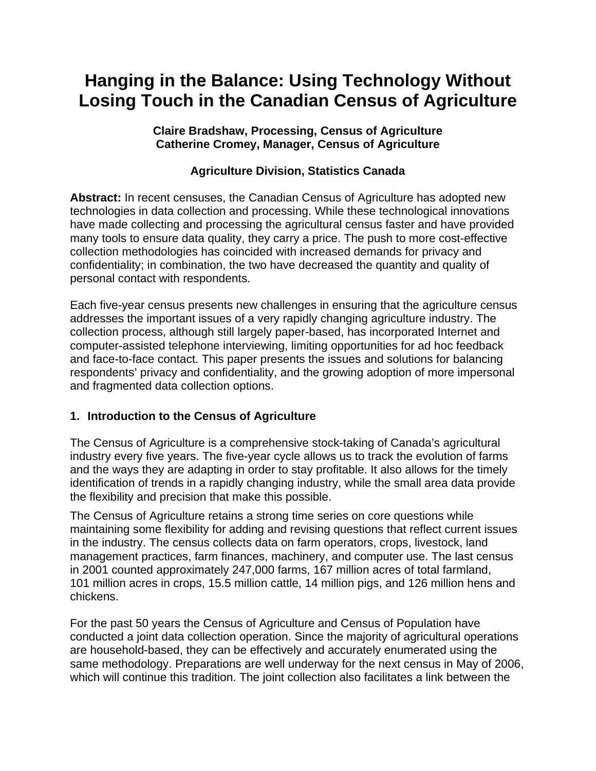# **Hanging in the Balance: Using Technology Without Losing Touch in the Canadian Census of Agriculture**

**Claire Bradshaw, Processing, Census of Agriculture Catherine Cromey, Manager, Census of Agriculture** 

# **Agriculture Division, Statistics Canada**

**Abstract:** In recent censuses, the Canadian Census of Agriculture has adopted new technologies in data collection and processing. While these technological innovations have made collecting and processing the agricultural census faster and have provided many tools to ensure data quality, they carry a price. The push to more cost-effective collection methodologies has coincided with increased demands for privacy and confidentiality; in combination, the two have decreased the quantity and quality of personal contact with respondents.

Each five-year census presents new challenges in ensuring that the agriculture census addresses the important issues of a very rapidly changing agriculture industry. The collection process, although still largely paper-based, has incorporated Internet and computer-assisted telephone interviewing, limiting opportunities for ad hoc feedback and face-to-face contact. This paper presents the issues and solutions for balancing respondents' privacy and confidentiality, and the growing adoption of more impersonal and fragmented data collection options.

# **1. Introduction to the Census of Agriculture**

The Census of Agriculture is a comprehensive stock-taking of Canada's agricultural industry every five years. The five-year cycle allows us to track the evolution of farms and the ways they are adapting in order to stay profitable. It also allows for the timely identification of trends in a rapidly changing industry, while the small area data provide the flexibility and precision that make this possible.

The Census of Agriculture retains a strong time series on core questions while maintaining some flexibility for adding and revising questions that reflect current issues in the industry. The census collects data on farm operators, crops, livestock, land management practices, farm finances, machinery, and computer use. The last census in 2001 counted approximately 247,000 farms, 167 million acres of total farmland, 101 million acres in crops, 15.5 million cattle, 14 million pigs, and 126 million hens and chickens.

For the past 50 years the Census of Agriculture and Census of Population have conducted a joint data collection operation. Since the majority of agricultural operations are household-based, they can be effectively and accurately enumerated using the same methodology. Preparations are well underway for the next census in May of 2006, which will continue this tradition. The joint collection also facilitates a link between the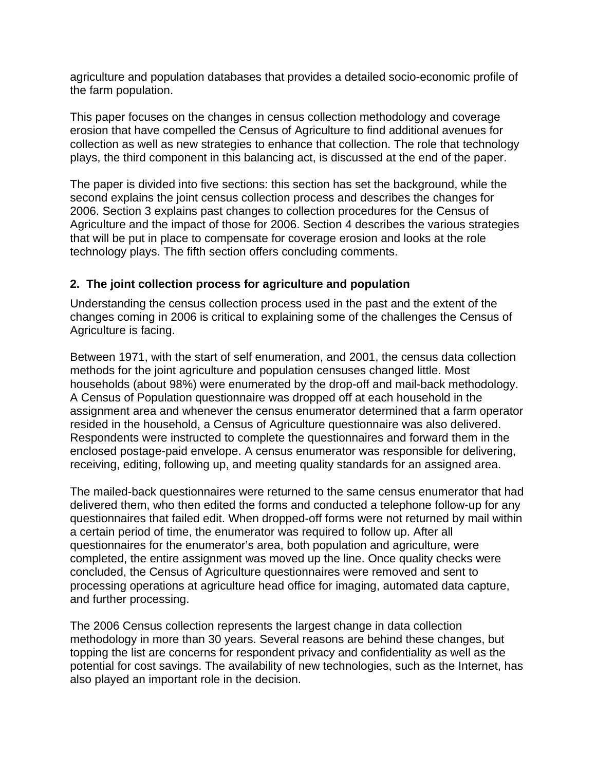agriculture and population databases that provides a detailed socio-economic profile of the farm population.

This paper focuses on the changes in census collection methodology and coverage erosion that have compelled the Census of Agriculture to find additional avenues for collection as well as new strategies to enhance that collection. The role that technology plays, the third component in this balancing act, is discussed at the end of the paper.

The paper is divided into five sections: this section has set the background, while the second explains the joint census collection process and describes the changes for 2006. Section 3 explains past changes to collection procedures for the Census of Agriculture and the impact of those for 2006. Section 4 describes the various strategies that will be put in place to compensate for coverage erosion and looks at the role technology plays. The fifth section offers concluding comments.

# **2. The joint collection process for agriculture and population**

Understanding the census collection process used in the past and the extent of the changes coming in 2006 is critical to explaining some of the challenges the Census of Agriculture is facing.

Between 1971, with the start of self enumeration, and 2001, the census data collection methods for the joint agriculture and population censuses changed little. Most households (about 98%) were enumerated by the drop-off and mail-back methodology. A Census of Population questionnaire was dropped off at each household in the assignment area and whenever the census enumerator determined that a farm operator resided in the household, a Census of Agriculture questionnaire was also delivered. Respondents were instructed to complete the questionnaires and forward them in the enclosed postage-paid envelope. A census enumerator was responsible for delivering, receiving, editing, following up, and meeting quality standards for an assigned area.

The mailed-back questionnaires were returned to the same census enumerator that had delivered them, who then edited the forms and conducted a telephone follow-up for any questionnaires that failed edit. When dropped-off forms were not returned by mail within a certain period of time, the enumerator was required to follow up. After all questionnaires for the enumerator's area, both population and agriculture, were completed, the entire assignment was moved up the line. Once quality checks were concluded, the Census of Agriculture questionnaires were removed and sent to processing operations at agriculture head office for imaging, automated data capture, and further processing.

The 2006 Census collection represents the largest change in data collection methodology in more than 30 years. Several reasons are behind these changes, but topping the list are concerns for respondent privacy and confidentiality as well as the potential for cost savings. The availability of new technologies, such as the Internet, has also played an important role in the decision.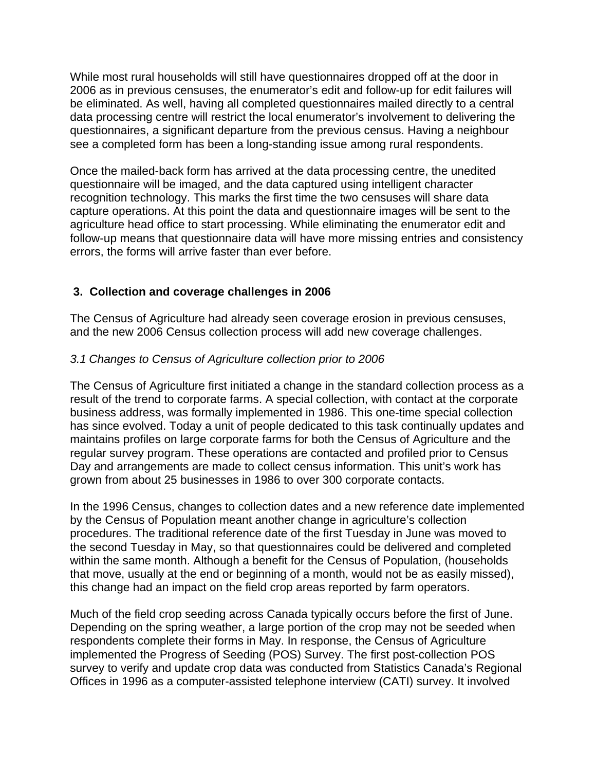While most rural households will still have questionnaires dropped off at the door in 2006 as in previous censuses, the enumerator's edit and follow-up for edit failures will be eliminated. As well, having all completed questionnaires mailed directly to a central data processing centre will restrict the local enumerator's involvement to delivering the questionnaires, a significant departure from the previous census. Having a neighbour see a completed form has been a long-standing issue among rural respondents.

Once the mailed-back form has arrived at the data processing centre, the unedited questionnaire will be imaged, and the data captured using intelligent character recognition technology. This marks the first time the two censuses will share data capture operations. At this point the data and questionnaire images will be sent to the agriculture head office to start processing. While eliminating the enumerator edit and follow-up means that questionnaire data will have more missing entries and consistency errors, the forms will arrive faster than ever before.

# **3. Collection and coverage challenges in 2006**

The Census of Agriculture had already seen coverage erosion in previous censuses, and the new 2006 Census collection process will add new coverage challenges.

### *3.1 Changes to Census of Agriculture collection prior to 2006*

The Census of Agriculture first initiated a change in the standard collection process as a result of the trend to corporate farms. A special collection, with contact at the corporate business address, was formally implemented in 1986. This one-time special collection has since evolved. Today a unit of people dedicated to this task continually updates and maintains profiles on large corporate farms for both the Census of Agriculture and the regular survey program. These operations are contacted and profiled prior to Census Day and arrangements are made to collect census information. This unit's work has grown from about 25 businesses in 1986 to over 300 corporate contacts.

In the 1996 Census, changes to collection dates and a new reference date implemented by the Census of Population meant another change in agriculture's collection procedures. The traditional reference date of the first Tuesday in June was moved to the second Tuesday in May, so that questionnaires could be delivered and completed within the same month. Although a benefit for the Census of Population, (households that move, usually at the end or beginning of a month, would not be as easily missed), this change had an impact on the field crop areas reported by farm operators.

Much of the field crop seeding across Canada typically occurs before the first of June. Depending on the spring weather, a large portion of the crop may not be seeded when respondents complete their forms in May. In response, the Census of Agriculture implemented the Progress of Seeding (POS) Survey. The first post-collection POS survey to verify and update crop data was conducted from Statistics Canada's Regional Offices in 1996 as a computer-assisted telephone interview (CATI) survey. It involved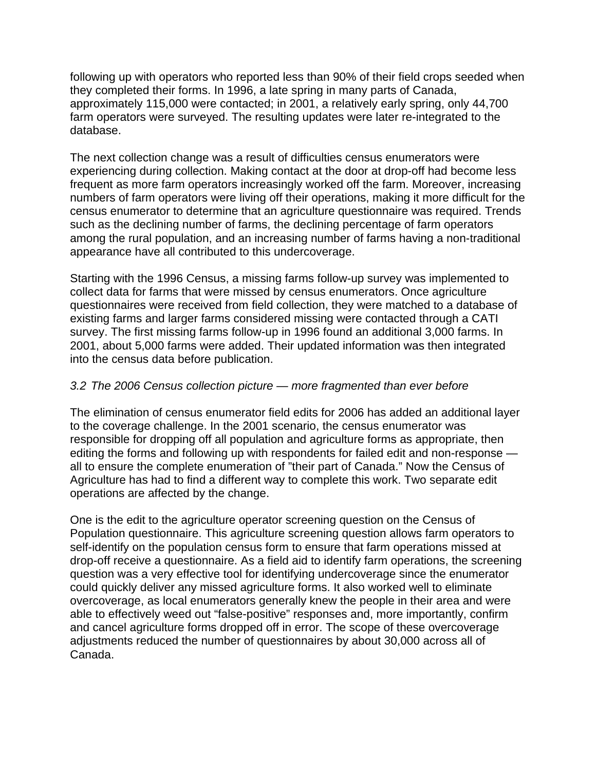following up with operators who reported less than 90% of their field crops seeded when they completed their forms. In 1996, a late spring in many parts of Canada, approximately 115,000 were contacted; in 2001, a relatively early spring, only 44,700 farm operators were surveyed. The resulting updates were later re-integrated to the database.

The next collection change was a result of difficulties census enumerators were experiencing during collection. Making contact at the door at drop-off had become less frequent as more farm operators increasingly worked off the farm. Moreover, increasing numbers of farm operators were living off their operations, making it more difficult for the census enumerator to determine that an agriculture questionnaire was required. Trends such as the declining number of farms, the declining percentage of farm operators among the rural population, and an increasing number of farms having a non-traditional appearance have all contributed to this undercoverage.

Starting with the 1996 Census, a missing farms follow-up survey was implemented to collect data for farms that were missed by census enumerators. Once agriculture questionnaires were received from field collection, they were matched to a database of existing farms and larger farms considered missing were contacted through a CATI survey. The first missing farms follow-up in 1996 found an additional 3,000 farms. In 2001, about 5,000 farms were added. Their updated information was then integrated into the census data before publication.

# *3.2 The 2006 Census collection picture — more fragmented than ever before*

The elimination of census enumerator field edits for 2006 has added an additional layer to the coverage challenge. In the 2001 scenario, the census enumerator was responsible for dropping off all population and agriculture forms as appropriate, then editing the forms and following up with respondents for failed edit and non-response all to ensure the complete enumeration of "their part of Canada." Now the Census of Agriculture has had to find a different way to complete this work. Two separate edit operations are affected by the change.

One is the edit to the agriculture operator screening question on the Census of Population questionnaire. This agriculture screening question allows farm operators to self-identify on the population census form to ensure that farm operations missed at drop-off receive a questionnaire. As a field aid to identify farm operations, the screening question was a very effective tool for identifying undercoverage since the enumerator could quickly deliver any missed agriculture forms. It also worked well to eliminate overcoverage, as local enumerators generally knew the people in their area and were able to effectively weed out "false-positive" responses and, more importantly, confirm and cancel agriculture forms dropped off in error. The scope of these overcoverage adjustments reduced the number of questionnaires by about 30,000 across all of Canada.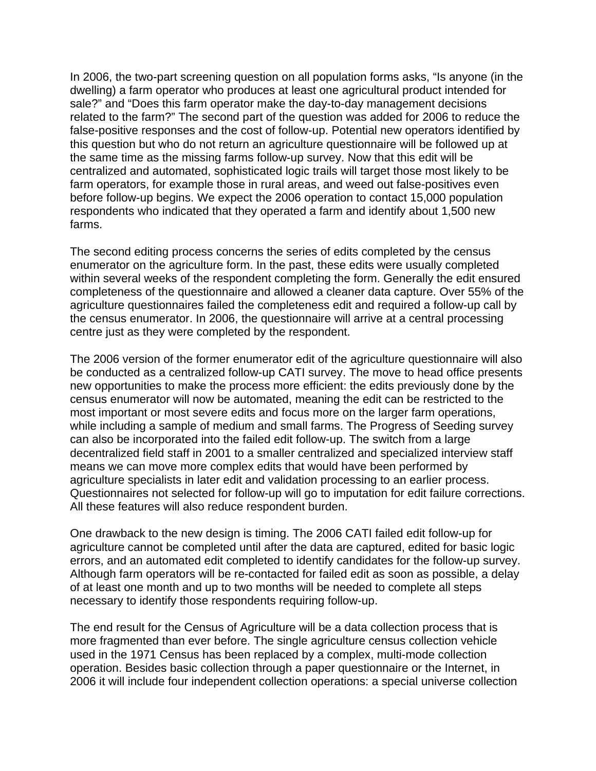In 2006, the two-part screening question on all population forms asks, "Is anyone (in the dwelling) a farm operator who produces at least one agricultural product intended for sale?" and "Does this farm operator make the day-to-day management decisions related to the farm?" The second part of the question was added for 2006 to reduce the false-positive responses and the cost of follow-up. Potential new operators identified by this question but who do not return an agriculture questionnaire will be followed up at the same time as the missing farms follow-up survey. Now that this edit will be centralized and automated, sophisticated logic trails will target those most likely to be farm operators, for example those in rural areas, and weed out false-positives even before follow-up begins. We expect the 2006 operation to contact 15,000 population respondents who indicated that they operated a farm and identify about 1,500 new farms.

The second editing process concerns the series of edits completed by the census enumerator on the agriculture form. In the past, these edits were usually completed within several weeks of the respondent completing the form. Generally the edit ensured completeness of the questionnaire and allowed a cleaner data capture. Over 55% of the agriculture questionnaires failed the completeness edit and required a follow-up call by the census enumerator. In 2006, the questionnaire will arrive at a central processing centre just as they were completed by the respondent.

The 2006 version of the former enumerator edit of the agriculture questionnaire will also be conducted as a centralized follow-up CATI survey. The move to head office presents new opportunities to make the process more efficient: the edits previously done by the census enumerator will now be automated, meaning the edit can be restricted to the most important or most severe edits and focus more on the larger farm operations, while including a sample of medium and small farms. The Progress of Seeding survey can also be incorporated into the failed edit follow-up. The switch from a large decentralized field staff in 2001 to a smaller centralized and specialized interview staff means we can move more complex edits that would have been performed by agriculture specialists in later edit and validation processing to an earlier process. Questionnaires not selected for follow-up will go to imputation for edit failure corrections. All these features will also reduce respondent burden.

One drawback to the new design is timing. The 2006 CATI failed edit follow-up for agriculture cannot be completed until after the data are captured, edited for basic logic errors, and an automated edit completed to identify candidates for the follow-up survey. Although farm operators will be re-contacted for failed edit as soon as possible, a delay of at least one month and up to two months will be needed to complete all steps necessary to identify those respondents requiring follow-up.

The end result for the Census of Agriculture will be a data collection process that is more fragmented than ever before. The single agriculture census collection vehicle used in the 1971 Census has been replaced by a complex, multi-mode collection operation. Besides basic collection through a paper questionnaire or the Internet, in 2006 it will include four independent collection operations: a special universe collection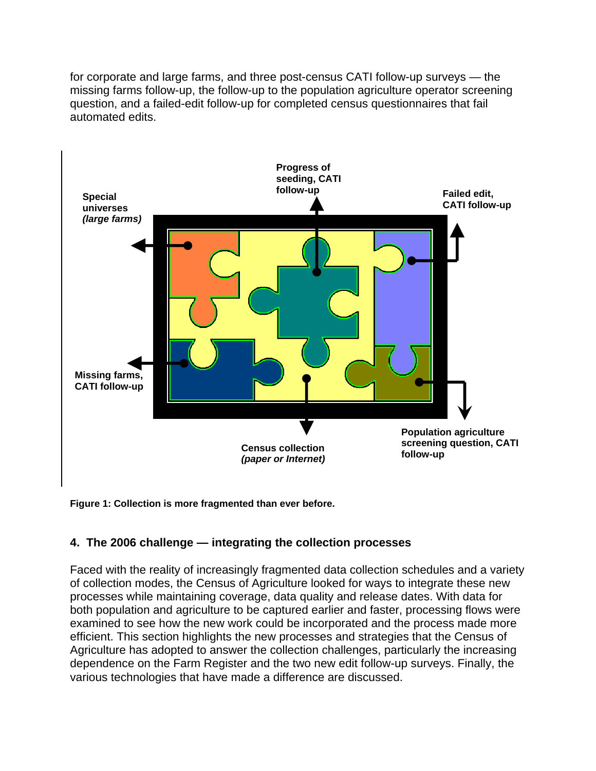for corporate and large farms, and three post-census CATI follow-up surveys — the missing farms follow-up, the follow-up to the population agriculture operator screening question, and a failed-edit follow-up for completed census questionnaires that fail automated edits.



**Figure 1: Collection is more fragmented than ever before.** 

# **4. The 2006 challenge — integrating the collection processes**

Faced with the reality of increasingly fragmented data collection schedules and a variety of collection modes, the Census of Agriculture looked for ways to integrate these new processes while maintaining coverage, data quality and release dates. With data for both population and agriculture to be captured earlier and faster, processing flows were examined to see how the new work could be incorporated and the process made more efficient. This section highlights the new processes and strategies that the Census of Agriculture has adopted to answer the collection challenges, particularly the increasing dependence on the Farm Register and the two new edit follow-up surveys. Finally, the various technologies that have made a difference are discussed.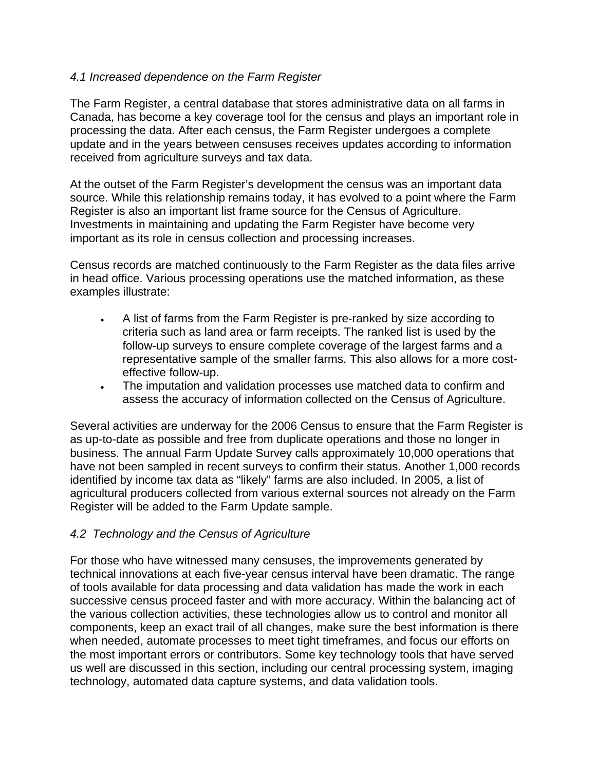# *4.1 Increased dependence on the Farm Register*

The Farm Register, a central database that stores administrative data on all farms in Canada, has become a key coverage tool for the census and plays an important role in processing the data. After each census, the Farm Register undergoes a complete update and in the years between censuses receives updates according to information received from agriculture surveys and tax data.

At the outset of the Farm Register's development the census was an important data source. While this relationship remains today, it has evolved to a point where the Farm Register is also an important list frame source for the Census of Agriculture. Investments in maintaining and updating the Farm Register have become very important as its role in census collection and processing increases.

Census records are matched continuously to the Farm Register as the data files arrive in head office. Various processing operations use the matched information, as these examples illustrate:

- A list of farms from the Farm Register is pre-ranked by size according to criteria such as land area or farm receipts. The ranked list is used by the follow-up surveys to ensure complete coverage of the largest farms and a representative sample of the smaller farms. This also allows for a more costeffective follow-up.
- The imputation and validation processes use matched data to confirm and assess the accuracy of information collected on the Census of Agriculture.

Several activities are underway for the 2006 Census to ensure that the Farm Register is as up-to-date as possible and free from duplicate operations and those no longer in business. The annual Farm Update Survey calls approximately 10,000 operations that have not been sampled in recent surveys to confirm their status. Another 1,000 records identified by income tax data as "likely" farms are also included. In 2005, a list of agricultural producers collected from various external sources not already on the Farm Register will be added to the Farm Update sample.

# *4.2 Technology and the Census of Agriculture*

For those who have witnessed many censuses, the improvements generated by technical innovations at each five-year census interval have been dramatic. The range of tools available for data processing and data validation has made the work in each successive census proceed faster and with more accuracy. Within the balancing act of the various collection activities, these technologies allow us to control and monitor all components, keep an exact trail of all changes, make sure the best information is there when needed, automate processes to meet tight timeframes, and focus our efforts on the most important errors or contributors. Some key technology tools that have served us well are discussed in this section, including our central processing system, imaging technology, automated data capture systems, and data validation tools.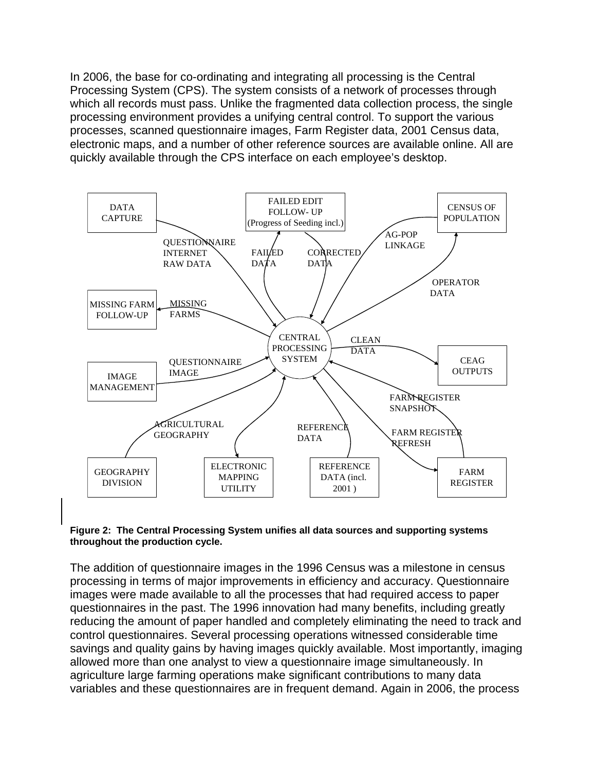In 2006, the base for co-ordinating and integrating all processing is the Central Processing System (CPS). The system consists of a network of processes through which all records must pass. Unlike the fragmented data collection process, the single processing environment provides a unifying central control. To support the various processes, scanned questionnaire images, Farm Register data, 2001 Census data, electronic maps, and a number of other reference sources are available online. All are quickly available through the CPS interface on each employee's desktop.



#### **Figure 2: The Central Processing System unifies all data sources and supporting systems throughout the production cycle.**

The addition of questionnaire images in the 1996 Census was a milestone in census processing in terms of major improvements in efficiency and accuracy. Questionnaire images were made available to all the processes that had required access to paper questionnaires in the past. The 1996 innovation had many benefits, including greatly reducing the amount of paper handled and completely eliminating the need to track and control questionnaires. Several processing operations witnessed considerable time savings and quality gains by having images quickly available. Most importantly, imaging allowed more than one analyst to view a questionnaire image simultaneously. In agriculture large farming operations make significant contributions to many data variables and these questionnaires are in frequent demand. Again in 2006, the process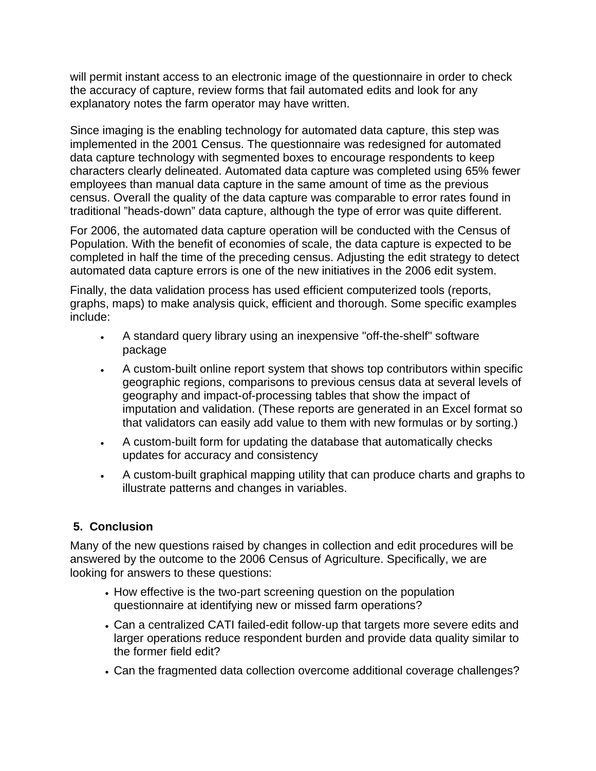will permit instant access to an electronic image of the questionnaire in order to check the accuracy of capture, review forms that fail automated edits and look for any explanatory notes the farm operator may have written.

Since imaging is the enabling technology for automated data capture, this step was implemented in the 2001 Census. The questionnaire was redesigned for automated data capture technology with segmented boxes to encourage respondents to keep characters clearly delineated. Automated data capture was completed using 65% fewer employees than manual data capture in the same amount of time as the previous census. Overall the quality of the data capture was comparable to error rates found in traditional "heads-down" data capture, although the type of error was quite different.

For 2006, the automated data capture operation will be conducted with the Census of Population. With the benefit of economies of scale, the data capture is expected to be completed in half the time of the preceding census. Adjusting the edit strategy to detect automated data capture errors is one of the new initiatives in the 2006 edit system.

Finally, the data validation process has used efficient computerized tools (reports, graphs, maps) to make analysis quick, efficient and thorough. Some specific examples include:

- A standard query library using an inexpensive "off-the-shelf" software package
- A custom-built online report system that shows top contributors within specific geographic regions, comparisons to previous census data at several levels of geography and impact-of-processing tables that show the impact of imputation and validation. (These reports are generated in an Excel format so that validators can easily add value to them with new formulas or by sorting.)
- A custom-built form for updating the database that automatically checks updates for accuracy and consistency
- A custom-built graphical mapping utility that can produce charts and graphs to illustrate patterns and changes in variables.

# **5. Conclusion**

Many of the new questions raised by changes in collection and edit procedures will be answered by the outcome to the 2006 Census of Agriculture. Specifically, we are looking for answers to these questions:

- How effective is the two-part screening question on the population questionnaire at identifying new or missed farm operations?
- Can a centralized CATI failed-edit follow-up that targets more severe edits and larger operations reduce respondent burden and provide data quality similar to the former field edit?
- Can the fragmented data collection overcome additional coverage challenges?